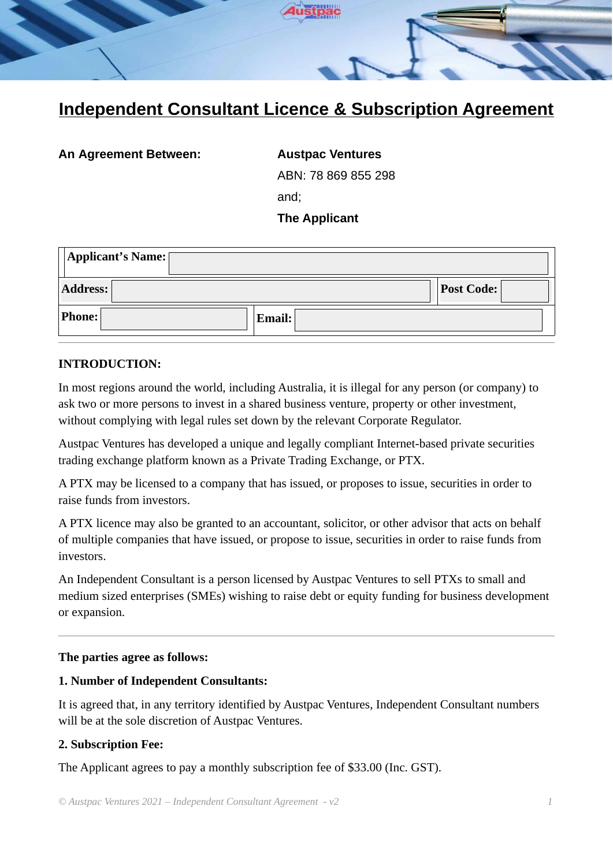

# **Independent Consultant Licence & Subscription Agreement**

**An Agreement Between: Austpac Ventures**

ABN: 78 869 855 298

and;

# **The Applicant**

| Applicant's Name: |        |                   |  |  |  |  |
|-------------------|--------|-------------------|--|--|--|--|
| <b>Address:</b>   |        | <b>Post Code:</b> |  |  |  |  |
| <b>Phone:</b>     | Email: |                   |  |  |  |  |

# **INTRODUCTION:**

In most regions around the world, including Australia, it is illegal for any person (or company) to ask two or more persons to invest in a shared business venture, property or other investment, without complying with legal rules set down by the relevant Corporate Regulator.

Austpac Ventures has developed a unique and legally compliant Internet-based private securities trading exchange platform known as a Private Trading Exchange, or PTX.

A PTX may be licensed to a company that has issued, or proposes to issue, securities in order to raise funds from investors.

A PTX licence may also be granted to an accountant, solicitor, or other advisor that acts on behalf of multiple companies that have issued, or propose to issue, securities in order to raise funds from investors.

An Independent Consultant is a person licensed by Austpac Ventures to sell PTXs to small and medium sized enterprises (SMEs) wishing to raise debt or equity funding for business development or expansion.

#### **The parties agree as follows:**

#### **1. Number of Independent Consultants:**

It is agreed that, in any territory identified by Austpac Ventures, Independent Consultant numbers will be at the sole discretion of Austpac Ventures.

# **2. Subscription Fee:**

The Applicant agrees to pay a monthly subscription fee of \$33.00 (Inc. GST).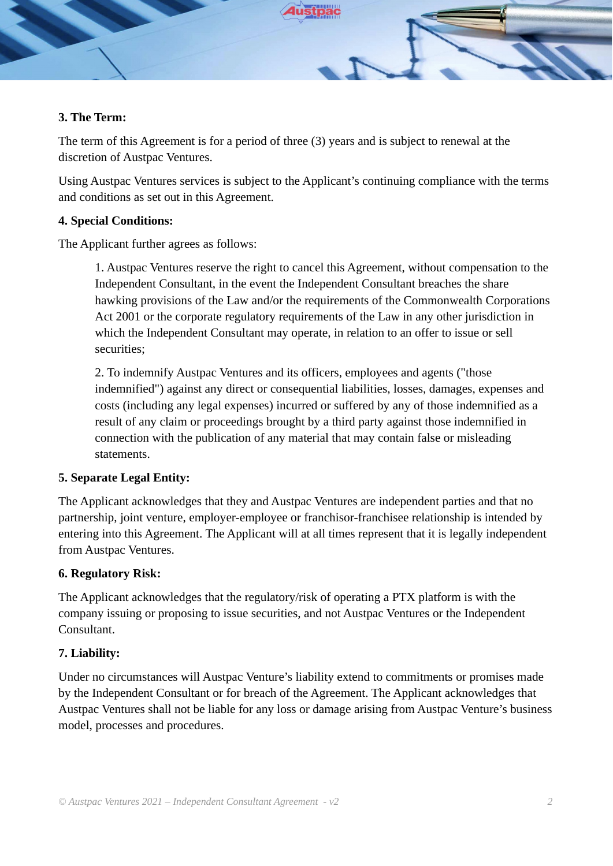

### **3. The Term:**

The term of this Agreement is for a period of three (3) years and is subject to renewal at the discretion of Austpac Ventures.

Using Austpac Ventures services is subject to the Applicant's continuing compliance with the terms and conditions as set out in this Agreement.

# **4. Special Conditions:**

The Applicant further agrees as follows:

1. Austpac Ventures reserve the right to cancel this Agreement, without compensation to the Independent Consultant, in the event the Independent Consultant breaches the share hawking provisions of the Law and/or the requirements of the Commonwealth Corporations Act 2001 or the corporate regulatory requirements of the Law in any other jurisdiction in which the Independent Consultant may operate, in relation to an offer to issue or sell securities;

2. To indemnify Austpac Ventures and its officers, employees and agents ("those indemnified") against any direct or consequential liabilities, losses, damages, expenses and costs (including any legal expenses) incurred or suffered by any of those indemnified as a result of any claim or proceedings brought by a third party against those indemnified in connection with the publication of any material that may contain false or misleading statements.

# **5. Separate Legal Entity:**

The Applicant acknowledges that they and Austpac Ventures are independent parties and that no partnership, joint venture, employer-employee or franchisor-franchisee relationship is intended by entering into this Agreement. The Applicant will at all times represent that it is legally independent from Austpac Ventures.

#### **6. Regulatory Risk:**

The Applicant acknowledges that the regulatory/risk of operating a PTX platform is with the company issuing or proposing to issue securities, and not Austpac Ventures or the Independent Consultant.

# **7. Liability:**

Under no circumstances will Austpac Venture's liability extend to commitments or promises made by the Independent Consultant or for breach of the Agreement. The Applicant acknowledges that Austpac Ventures shall not be liable for any loss or damage arising from Austpac Venture's business model, processes and procedures.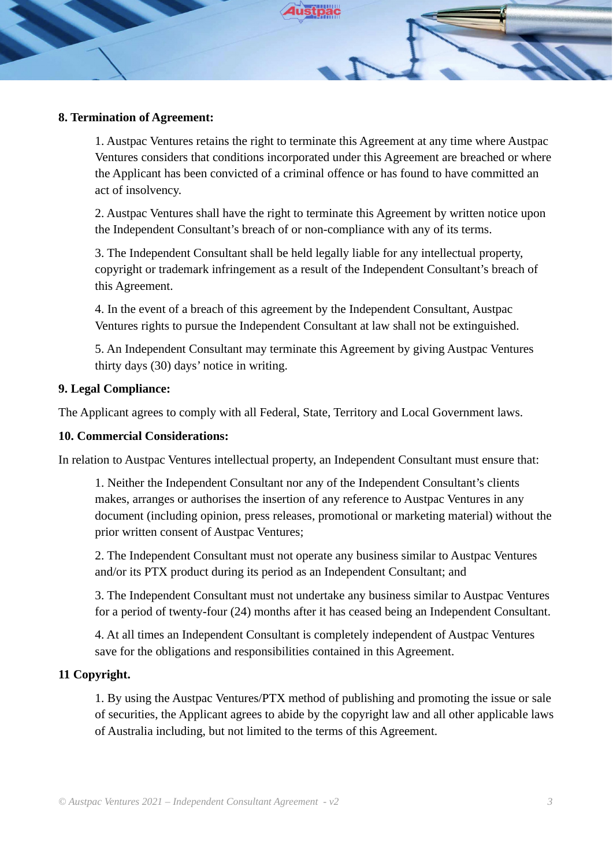

#### **8. Termination of Agreement:**

1. Austpac Ventures retains the right to terminate this Agreement at any time where Austpac Ventures considers that conditions incorporated under this Agreement are breached or where the Applicant has been convicted of a criminal offence or has found to have committed an act of insolvency.

2. Austpac Ventures shall have the right to terminate this Agreement by written notice upon the Independent Consultant's breach of or non-compliance with any of its terms.

3. The Independent Consultant shall be held legally liable for any intellectual property, copyright or trademark infringement as a result of the Independent Consultant's breach of this Agreement.

4. In the event of a breach of this agreement by the Independent Consultant, Austpac Ventures rights to pursue the Independent Consultant at law shall not be extinguished.

5. An Independent Consultant may terminate this Agreement by giving Austpac Ventures thirty days (30) days' notice in writing.

#### **9. Legal Compliance:**

The Applicant agrees to comply with all Federal, State, Territory and Local Government laws.

#### **10. Commercial Considerations:**

In relation to Austpac Ventures intellectual property, an Independent Consultant must ensure that:

1. Neither the Independent Consultant nor any of the Independent Consultant's clients makes, arranges or authorises the insertion of any reference to Austpac Ventures in any document (including opinion, press releases, promotional or marketing material) without the prior written consent of Austpac Ventures;

2. The Independent Consultant must not operate any business similar to Austpac Ventures and/or its PTX product during its period as an Independent Consultant; and

3. The Independent Consultant must not undertake any business similar to Austpac Ventures for a period of twenty-four (24) months after it has ceased being an Independent Consultant.

4. At all times an Independent Consultant is completely independent of Austpac Ventures save for the obligations and responsibilities contained in this Agreement.

# **11 Copyright.**

1. By using the Austpac Ventures/PTX method of publishing and promoting the issue or sale of securities, the Applicant agrees to abide by the copyright law and all other applicable laws of Australia including, but not limited to the terms of this Agreement.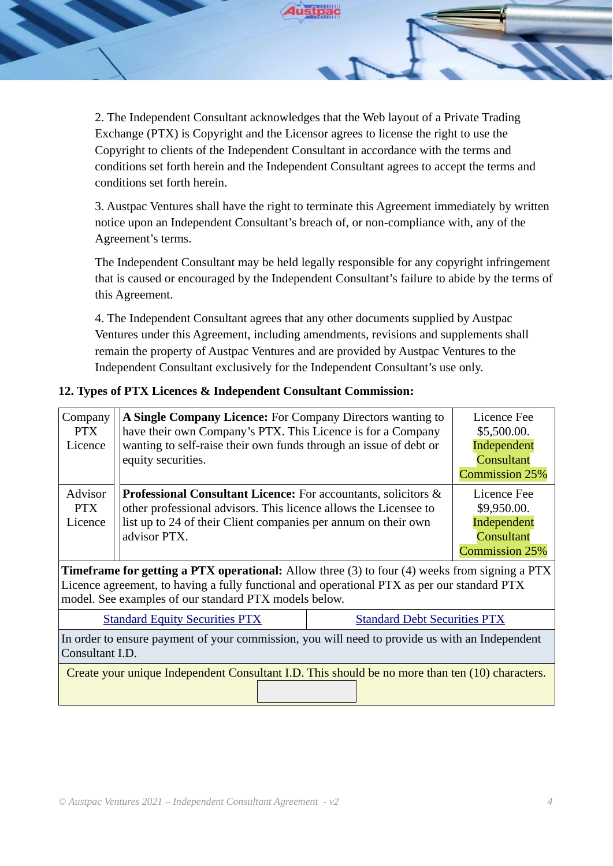2. The Independent Consultant acknowledges that the Web layout of a Private Trading Exchange (PTX) is Copyright and the Licensor agrees to license the right to use the Copyright to clients of the Independent Consultant in accordance with the terms and conditions set forth herein and the Independent Consultant agrees to accept the terms and conditions set forth herein.

3. Austpac Ventures shall have the right to terminate this Agreement immediately by written notice upon an Independent Consultant's breach of, or non-compliance with, any of the Agreement's terms.

The Independent Consultant may be held legally responsible for any copyright infringement that is caused or encouraged by the Independent Consultant's failure to abide by the terms of this Agreement.

4. The Independent Consultant agrees that any other documents supplied by Austpac Ventures under this Agreement, including amendments, revisions and supplements shall remain the property of Austpac Ventures and are provided by Austpac Ventures to the Independent Consultant exclusively for the Independent Consultant's use only.

# **12. Types of PTX Licences & Independent Consultant Commission:**

| Company<br><b>PTX</b><br>Licence                                                                                                                                                                                                                             | A Single Company Licence: For Company Directors wanting to<br>have their own Company's PTX. This Licence is for a Company<br>wanting to self-raise their own funds through an issue of debt or<br>equity securities.        |                                                                                  | Licence Fee<br>\$5,500.00.<br>Independent<br>Consultant<br><b>Commission 25%</b> |  |  |
|--------------------------------------------------------------------------------------------------------------------------------------------------------------------------------------------------------------------------------------------------------------|-----------------------------------------------------------------------------------------------------------------------------------------------------------------------------------------------------------------------------|----------------------------------------------------------------------------------|----------------------------------------------------------------------------------|--|--|
| Advisor<br><b>PTX</b><br>Licence                                                                                                                                                                                                                             | <b>Professional Consultant Licence:</b> For accountants, solicitors &<br>other professional advisors. This licence allows the Licensee to<br>list up to 24 of their Client companies per annum on their own<br>advisor PTX. | Licence Fee<br>\$9,950.00.<br>Independent<br>Consultant<br><b>Commission 25%</b> |                                                                                  |  |  |
| <b>Timeframe for getting a PTX operational:</b> Allow three (3) to four (4) weeks from signing a PTX<br>Licence agreement, to having a fully functional and operational PTX as per our standard PTX<br>model. See examples of our standard PTX models below. |                                                                                                                                                                                                                             |                                                                                  |                                                                                  |  |  |
| <b>Standard Debt Securities PTX</b><br><b>Standard Equity Securities PTX</b>                                                                                                                                                                                 |                                                                                                                                                                                                                             |                                                                                  |                                                                                  |  |  |
| In order to ensure payment of your commission, you will need to provide us with an Independent<br>Consultant I.D.                                                                                                                                            |                                                                                                                                                                                                                             |                                                                                  |                                                                                  |  |  |
| Create your unique Independent Consultant I.D. This should be no more than ten (10) characters.                                                                                                                                                              |                                                                                                                                                                                                                             |                                                                                  |                                                                                  |  |  |